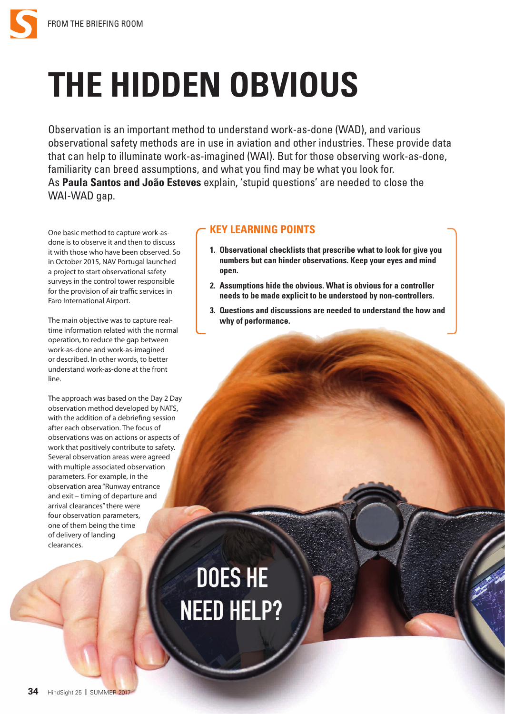

## **THE HIDDEN OBVIOUS**

Observation is an important method to understand work-as-done (WAD), and various observational safety methods are in use in aviation and other industries. These provide data that can help to illuminate work-as-imagined (WAI). But for those observing work-as-done, familiarity can breed assumptions, and what you find may be what you look for. As **Paula Santos and João Esteves** explain, 'stupid questions' are needed to close the WAI-WAD gap.

One basic method to capture work-asdone is to observe it and then to discuss it with those who have been observed. So in October 2015, NAV Portugal launched a project to start observational safety surveys in the control tower responsible for the provision of air traffic services in Faro International Airport.

The main objective was to capture realtime information related with the normal operation, to reduce the gap between work-as-done and work-as-imagined or described. In other words, to better understand work-as-done at the front line.

The approach was based on the Day 2 Day observation method developed by NATS, with the addition of a debriefing session after each observation. The focus of observations was on actions or aspects of work that positively contribute to safety. Several observation areas were agreed with multiple associated observation parameters. For example, in the observation area "Runway entrance and exit – timing of departure and arrival clearances" there were four observation parameters, one of them being the time of delivery of landing clearances.

## **KEY LEARNING POINTS**

- **1. Observational checklists that prescribe what to look for give you numbers but can hinder observations. Keep your eyes and mind open.**
- **2. Assumptions hide the obvious. What is obvious for a controller needs to be made explicit to be understood by non-controllers.**
- **3. Questions and discussions are needed to understand the how and why of performance.**

## **DOES HE NEED HELP?**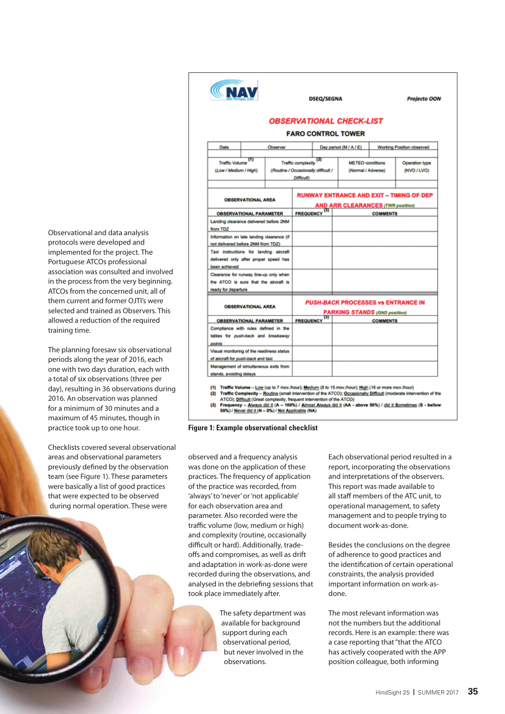Observational and data analysis protocols were developed and implemented for the project. The Portuguese ATCOs professional association was consulted and involved in the process from the very beginning. ATCOs from the concerned unit, all of them current and former OJTI's were selected and trained as Observers. This allowed a reduction of the required training time.

The planning foresaw six observational periods along the year of 2016, each one with two days duration, each with a total of six observations (three per day), resulting in 36 observations during 2016. An observation was planned for a minimum of 30 minutes and a maximum of 45 minutes, though in practice took up to one hour.

Checklists covered several observational areas and observational parameters previously defined by the observation team (see Figure 1). These parameters were basically a list of good practices that were expected to be observed during normal operation. These were

| <b>CNAV</b>                                                                                      |          |                                                                                 | <b>DSEQ/SEGNA</b>                                                                           |  |                        |                                 | <b>Projecto OON</b>       |  |
|--------------------------------------------------------------------------------------------------|----------|---------------------------------------------------------------------------------|---------------------------------------------------------------------------------------------|--|------------------------|---------------------------------|---------------------------|--|
|                                                                                                  |          |                                                                                 |                                                                                             |  |                        | <b>OBSERVATIONAL CHECK-LIST</b> |                           |  |
|                                                                                                  |          |                                                                                 |                                                                                             |  |                        | <b>FARO CONTROL TOWER</b>       |                           |  |
| Date                                                                                             | Observer |                                                                                 |                                                                                             |  | Day period (M / A / E) |                                 | Working Position observed |  |
| m<br><b>Traffic Volume</b>                                                                       |          | $\overline{\mathbf{z}}$<br><b>Traffic complexity</b><br><b>METEO</b> conditions |                                                                                             |  |                        |                                 | Operation type            |  |
| (Low / Medium / High)                                                                            |          | (Routine / Occasionally difficult /<br>Difficult)                               |                                                                                             |  | (Normal / Adverse)     | (NVO / LVO)                     |                           |  |
| <b>OBSERVATIONAL AREA</b>                                                                        |          |                                                                                 | <b>RUNWAY ENTRANCE AND EXIT - TIMING OF DEP</b><br><b>AND ARR CLEARANCES (TWR position)</b> |  |                        |                                 |                           |  |
| <b>OBSERVATIONAL PARAMETER</b>                                                                   |          |                                                                                 | FREQUENCY <sup>(3)</sup>                                                                    |  |                        |                                 | <b>COMMENTS</b>           |  |
| Landing clearance delivered before 2NM<br>from TDZ                                               |          |                                                                                 |                                                                                             |  |                        |                                 |                           |  |
| Information on late landing clearance (if<br>not delivered before 2NM from TDZ)                  |          |                                                                                 |                                                                                             |  |                        |                                 |                           |  |
| Taxi instructions for landing aircraft<br>delivered only after proper speed has<br>been achieved |          |                                                                                 |                                                                                             |  |                        |                                 |                           |  |
| Clearance for runway line-up only when<br>the ATCO is sure that the aircraft is                  |          |                                                                                 |                                                                                             |  |                        |                                 |                           |  |
| ready for departure                                                                              |          |                                                                                 |                                                                                             |  |                        |                                 |                           |  |
| <b>OBSERVATIONAL AREA</b>                                                                        |          |                                                                                 | <b>PUSH-BACK PROCESSES VS ENTRANCE IN</b><br><b>PARKING STANDS (GND position)</b>           |  |                        |                                 |                           |  |
| <b>OBSERVATIONAL PARAMETER</b>                                                                   |          |                                                                                 | <b>FREQUENCY</b>                                                                            |  |                        |                                 | <b>COMMENTS</b>           |  |
| Compliance with rules defined in the<br>tables for push-back and breakaway                       |          |                                                                                 |                                                                                             |  |                        |                                 |                           |  |
| points                                                                                           |          |                                                                                 |                                                                                             |  |                        |                                 |                           |  |
| Visual monitoring of the readiness status                                                        |          |                                                                                 |                                                                                             |  |                        |                                 |                           |  |
| of aircraft for push-back and taxi<br>Management of simultaneous exits from                      |          |                                                                                 |                                                                                             |  |                        |                                 |                           |  |
| stands, avoiding delays                                                                          |          |                                                                                 |                                                                                             |  |                        |                                 |                           |  |

(2) Traffic Complexity - Routine (small intervention of the ATCO); Occasionally Difficult (moderate intervention of the

ATCO); <u>Difficult</u> (Great complexity, frequent intervention of the ATCO)<br>Frequency – Always did it (A – 100%) / Almost Always did it (AA - above 50%) / <u>did it Sometimes</u> (S - bellow  $(3)$ 50%) / Never did it (N - 0%) / Not Applicable (NA)

**Figure 1: Example observational checklist**

observed and a frequency analysis was done on the application of these practices. The frequency of application of the practice was recorded, from 'always' to 'never' or 'not applicable' for each observation area and parameter. Also recorded were the traffic volume (low, medium or high) and complexity (routine, occasionally difficult or hard). Additionally, tradeoffs and compromises, as well as drift and adaptation in work-as-done were recorded during the observations, and analysed in the debriefing sessions that took place immediately after.

> The safety department was available for background support during each observational period, but never involved in the observations.

Each observational period resulted in a report, incorporating the observations and interpretations of the observers. This report was made available to all staff members of the ATC unit, to operational management, to safety management and to people trying to document work-as-done.

Besides the conclusions on the degree of adherence to good practices and the identification of certain operational constraints, the analysis provided important information on work-asdone.

The most relevant information was not the numbers but the additional records. Here is an example: there was a case reporting that "that the ATCO has actively cooperated with the APP position colleague, both informing